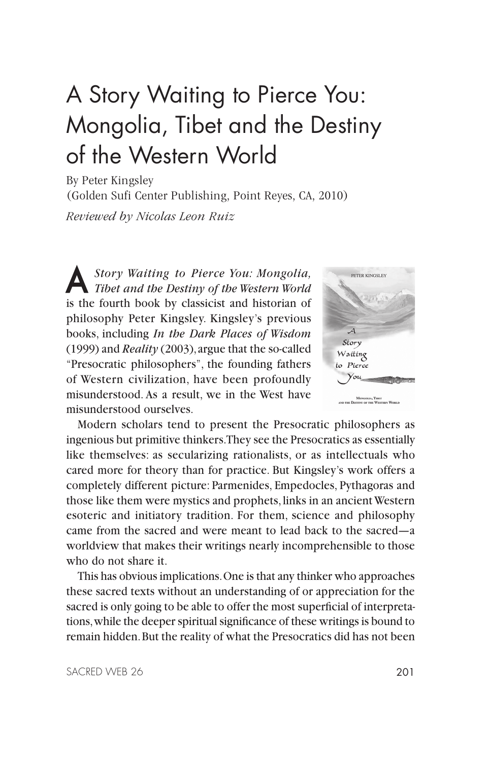## A Story Waiting to Pierce You: Mongolia, Tibet and the Destiny of the Western World

By Peter Kingsley (Golden Sufi Center Publishing, Point Reyes, CA, 2010)

*Reviewed by Nicolas Leon Ruiz*

A *Story Waiting to Pierce You: Mongolia, Tibet and the Destiny of the Western World* is the fourth book by classicist and historian of philosophy Peter Kingsley. Kingsley's previous books, including *In the Dark Places of Wisdom* (1999) and *Reality* (2003), argue that the so-called "Presocratic philosophers", the founding fathers of Western civilization, have been profoundly misunderstood. As a result, we in the West have misunderstood ourselves.



Modern scholars tend to present the Presocratic philosophers as ingenious but primitive thinkers. They see the Presocratics as essentially like themselves: as secularizing rationalists, or as intellectuals who cared more for theory than for practice. But Kingsley's work offers a completely different picture: Parmenides, Empedocles, Pythagoras and those like them were mystics and prophets, links in an ancient Western esoteric and initiatory tradition. For them, science and philosophy came from the sacred and were meant to lead back to the sacred—a worldview that makes their writings nearly incomprehensible to those who do not share it.

This has obvious implications. One is that any thinker who approaches these sacred texts without an understanding of or appreciation for the sacred is only going to be able to offer the most superficial of interpretations, while the deeper spiritual significance of these writings is bound to remain hidden. But the reality of what the Presocratics did has not been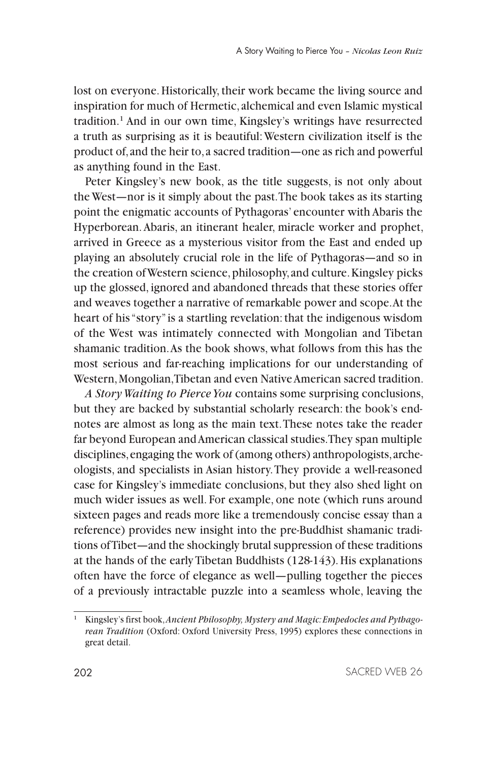lost on everyone. Historically, their work became the living source and inspiration for much of Hermetic, alchemical and even Islamic mystical tradition.<sup>1</sup> And in our own time, Kingsley's writings have resurrected a truth as surprising as it is beautiful: Western civilization itself is the product of, and the heir to, a sacred tradition—one as rich and powerful as anything found in the East.

Peter Kingsley's new book, as the title suggests, is not only about the West—nor is it simply about the past. The book takes as its starting point the enigmatic accounts of Pythagoras' encounter with Abaris the Hyperborean. Abaris, an itinerant healer, miracle worker and prophet, arrived in Greece as a mysterious visitor from the East and ended up playing an absolutely crucial role in the life of Pythagoras—and so in the creation of Western science, philosophy, and culture. Kingsley picks up the glossed, ignored and abandoned threads that these stories offer and weaves together a narrative of remarkable power and scope. At the heart of his "story" is a startling revelation: that the indigenous wisdom of the West was intimately connected with Mongolian and Tibetan shamanic tradition. As the book shows, what follows from this has the most serious and far-reaching implications for our understanding of Western, Mongolian, Tibetan and even Native American sacred tradition.

*A Story Waiting to Pierce You* contains some surprising conclusions, but they are backed by substantial scholarly research: the book's endnotes are almost as long as the main text. These notes take the reader far beyond European and American classical studies. They span multiple disciplines, engaging the work of (among others) anthropologists, archeologists, and specialists in Asian history. They provide a well-reasoned case for Kingsley's immediate conclusions, but they also shed light on much wider issues as well. For example, one note (which runs around sixteen pages and reads more like a tremendously concise essay than a reference) provides new insight into the pre-Buddhist shamanic traditions of Tibet—and the shockingly brutal suppression of these traditions at the hands of the early Tibetan Buddhists (128-143). His explanations often have the force of elegance as well—pulling together the pieces of a previously intractable puzzle into a seamless whole, leaving the

<sup>1</sup> Kingsley's first book, *Ancient Philosophy, Mystery and Magic: Empedocles and Pythagorean Tradition* (Oxford: Oxford University Press, 1995) explores these connections in great detail.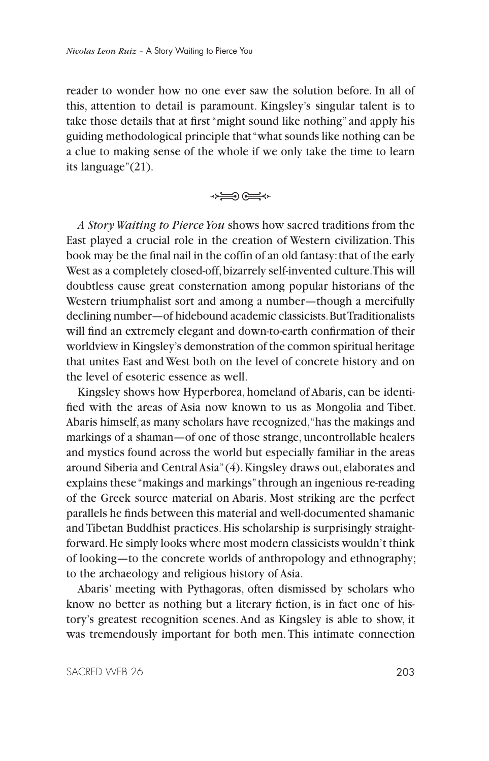reader to wonder how no one ever saw the solution before. In all of this, attention to detail is paramount. Kingsley's singular talent is to take those details that at first "might sound like nothing" and apply his guiding methodological principle that "what sounds like nothing can be a clue to making sense of the whole if we only take the time to learn its language"(21).

→₩<br>→₩

*A Story Waiting to Pierce You* shows how sacred traditions from the East played a crucial role in the creation of Western civilization. This book may be the final nail in the coffin of an old fantasy: that of the early West as a completely closed-off, bizarrely self-invented culture. This will doubtless cause great consternation among popular historians of the Western triumphalist sort and among a number—though a mercifully declining number—of hidebound academic classicists. But Traditionalists will find an extremely elegant and down-to-earth confirmation of their worldview in Kingsley's demonstration of the common spiritual heritage that unites East and West both on the level of concrete history and on the level of esoteric essence as well.

Kingsley shows how Hyperborea, homeland of Abaris, can be identified with the areas of Asia now known to us as Mongolia and Tibet. Abaris himself, as many scholars have recognized, "has the makings and markings of a shaman—of one of those strange, uncontrollable healers and mystics found across the world but especially familiar in the areas around Siberia and Central Asia" (4). Kingsley draws out, elaborates and explains these "makings and markings" through an ingenious re-reading of the Greek source material on Abaris. Most striking are the perfect parallels he finds between this material and well-documented shamanic and Tibetan Buddhist practices. His scholarship is surprisingly straightforward. He simply looks where most modern classicists wouldn't think of looking—to the concrete worlds of anthropology and ethnography; to the archaeology and religious history of Asia.

Abaris' meeting with Pythagoras, often dismissed by scholars who know no better as nothing but a literary fiction, is in fact one of history's greatest recognition scenes. And as Kingsley is able to show, it was tremendously important for both men. This intimate connection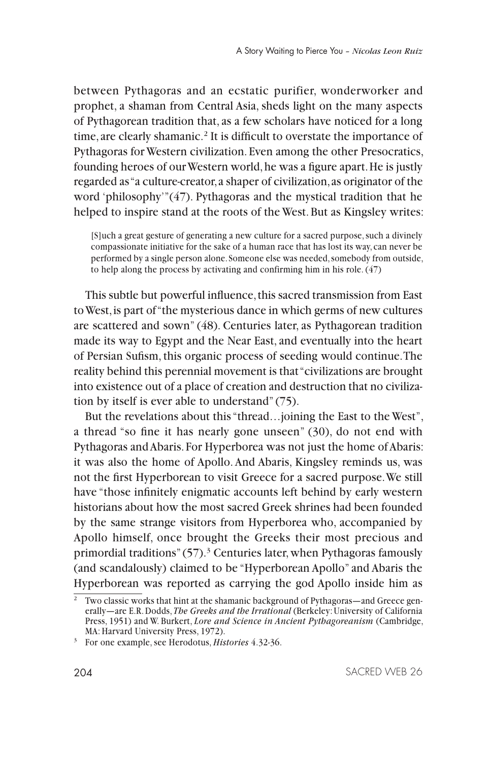between Pythagoras and an ecstatic purifier, wonderworker and prophet, a shaman from Central Asia, sheds light on the many aspects of Pythagorean tradition that, as a few scholars have noticed for a long time, are clearly shamanic.<sup>2</sup> It is difficult to overstate the importance of Pythagoras for Western civilization. Even among the other Presocratics, founding heroes of our Western world, he was a figure apart. He is justly regarded as "a culture-creator, a shaper of civilization, as originator of the word 'philosophy'"(47). Pythagoras and the mystical tradition that he helped to inspire stand at the roots of the West. But as Kingsley writes:

[S]uch a great gesture of generating a new culture for a sacred purpose, such a divinely compassionate initiative for the sake of a human race that has lost its way, can never be performed by a single person alone. Someone else was needed, somebody from outside, to help along the process by activating and confirming him in his role. (47)

This subtle but powerful influence, this sacred transmission from East to West, is part of "the mysterious dance in which germs of new cultures are scattered and sown" (48). Centuries later, as Pythagorean tradition made its way to Egypt and the Near East, and eventually into the heart of Persian Sufism, this organic process of seeding would continue. The reality behind this perennial movement is that "civilizations are brought into existence out of a place of creation and destruction that no civilization by itself is ever able to understand" (75).

But the revelations about this "thread…joining the East to the West", a thread "so fine it has nearly gone unseen" (30), do not end with Pythagoras and Abaris. For Hyperborea was not just the home of Abaris: it was also the home of Apollo. And Abaris, Kingsley reminds us, was not the first Hyperborean to visit Greece for a sacred purpose. We still have "those infinitely enigmatic accounts left behind by early western historians about how the most sacred Greek shrines had been founded by the same strange visitors from Hyperborea who, accompanied by Apollo himself, once brought the Greeks their most precious and primordial traditions" (57).<sup>3</sup> Centuries later, when Pythagoras famously (and scandalously) claimed to be "Hyperborean Apollo" and Abaris the Hyperborean was reported as carrying the god Apollo inside him as

<sup>&</sup>lt;sup>2</sup> Two classic works that hint at the shamanic background of Pythagoras—and Greece generally—are E.R. Dodds, *The Greeks and the Irrational* (Berkeley: University of California Press, 1951) and W. Burkert, *Lore and Science in Ancient Pythagoreanism* (Cambridge, MA: Harvard University Press, 1972).

<sup>3</sup> For one example, see Herodotus, *Histories* 4.32-36.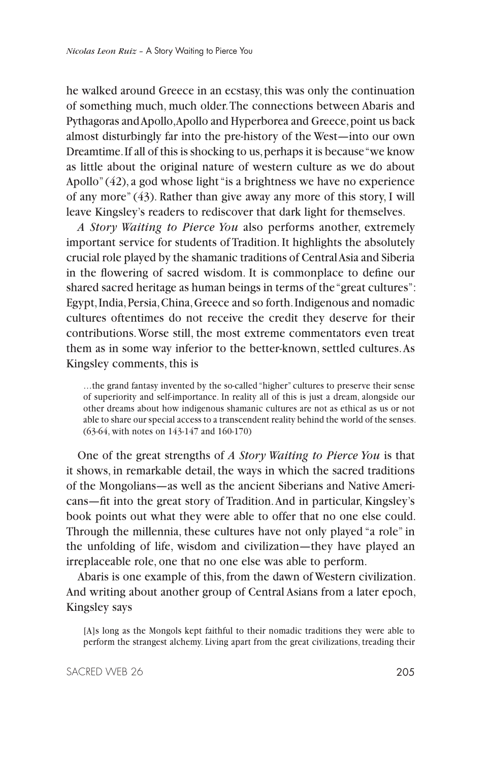he walked around Greece in an ecstasy, this was only the continuation of something much, much older. The connections between Abaris and Pythagoras and Apollo, Apollo and Hyperborea and Greece, point us back almost disturbingly far into the pre-history of the West—into our own Dreamtime. If all of this is shocking to us, perhaps it is because "we know as little about the original nature of western culture as we do about Apollo" (42), a god whose light "is a brightness we have no experience of any more" (43). Rather than give away any more of this story, I will leave Kingsley's readers to rediscover that dark light for themselves.

*A Story Waiting to Pierce You* also performs another, extremely important service for students of Tradition. It highlights the absolutely crucial role played by the shamanic traditions of Central Asia and Siberia in the flowering of sacred wisdom. It is commonplace to define our shared sacred heritage as human beings in terms of the "great cultures": Egypt, India, Persia, China, Greece and so forth. Indigenous and nomadic cultures oftentimes do not receive the credit they deserve for their contributions. Worse still, the most extreme commentators even treat them as in some way inferior to the better-known, settled cultures. As Kingsley comments, this is

…the grand fantasy invented by the so-called "higher" cultures to preserve their sense of superiority and self-importance. In reality all of this is just a dream, alongside our other dreams about how indigenous shamanic cultures are not as ethical as us or not able to share our special access to a transcendent reality behind the world of the senses. (63-64, with notes on 143-147 and 160-170)

One of the great strengths of *A Story Waiting to Pierce You* is that it shows, in remarkable detail, the ways in which the sacred traditions of the Mongolians—as well as the ancient Siberians and Native Americans—fit into the great story of Tradition. And in particular, Kingsley's book points out what they were able to offer that no one else could. Through the millennia, these cultures have not only played "a role" in the unfolding of life, wisdom and civilization—they have played an irreplaceable role, one that no one else was able to perform.

Abaris is one example of this, from the dawn of Western civilization. And writing about another group of Central Asians from a later epoch, Kingsley says

[A]s long as the Mongols kept faithful to their nomadic traditions they were able to perform the strangest alchemy. Living apart from the great civilizations, treading their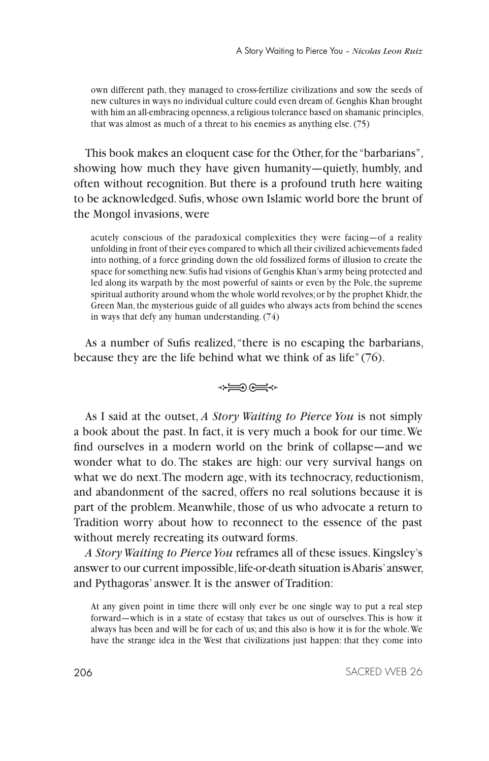own different path, they managed to cross-fertilize civilizations and sow the seeds of new cultures in ways no individual culture could even dream of. Genghis Khan brought with him an all-embracing openness, a religious tolerance based on shamanic principles, that was almost as much of a threat to his enemies as anything else. (75)

This book makes an eloquent case for the Other, for the "barbarians", showing how much they have given humanity—quietly, humbly, and often without recognition. But there is a profound truth here waiting to be acknowledged. Sufis, whose own Islamic world bore the brunt of the Mongol invasions, were

acutely conscious of the paradoxical complexities they were facing—of a reality unfolding in front of their eyes compared to which all their civilized achievements faded into nothing, of a force grinding down the old fossilized forms of illusion to create the space for something new. Sufis had visions of Genghis Khan's army being protected and led along its warpath by the most powerful of saints or even by the Pole, the supreme spiritual authority around whom the whole world revolves; or by the prophet Khidr, the Green Man, the mysterious guide of all guides who always acts from behind the scenes in ways that defy any human understanding. (74)

As a number of Sufis realized, "there is no escaping the barbarians, because they are the life behind what we think of as life" (76).



As I said at the outset, *A Story Waiting to Pierce You* is not simply a book about the past. In fact, it is very much a book for our time. We find ourselves in a modern world on the brink of collapse—and we wonder what to do. The stakes are high: our very survival hangs on what we do next. The modern age, with its technocracy, reductionism, and abandonment of the sacred, offers no real solutions because it is part of the problem. Meanwhile, those of us who advocate a return to Tradition worry about how to reconnect to the essence of the past without merely recreating its outward forms.

*A Story Waiting to Pierce You* reframes all of these issues. Kingsley's answer to our current impossible, life-or-death situation is Abaris' answer, and Pythagoras' answer. It is the answer of Tradition:

At any given point in time there will only ever be one single way to put a real step forward—which is in a state of ecstasy that takes us out of ourselves. This is how it always has been and will be for each of us; and this also is how it is for the whole. We have the strange idea in the West that civilizations just happen: that they come into